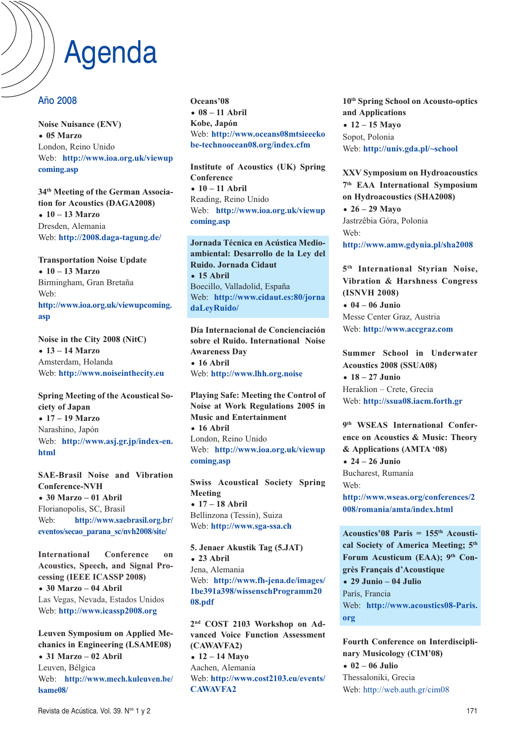### Agenda

### Año 2008

**Noise Nuisance (ENV)** - **05 Marzo** London, Reino Unido Web: **http://www.ioa.org.uk/viewup coming.asp**

**34th Meeting of the German Association for Acoustics (DAGA2008)** - **10 – 13 Marzo** Dresden, Alemania Web: **http://2008.daga-tagung.de/**

**Transportation Noise Update** - **10 – 13 Marzo** Birmingham, Gran Bretaña Web: **http://www.ioa.org.uk/viewupcoming. asp**

 $\overline{\text{Noise in the City 2008 (NitC)}}$ - **13 – 14 Marzo** Amsterdam, Holanda Web: **http://www.noiseinthecity.eu**

**Spring Meeting of the Acoustical Society of Japan** - **17 – 19 Marzo** Narashino, Japón Web: **http://www.asj.gr.jp/index-en. html**

**SAE-Brasil Noise and Vibration Conference--VH** - **30 Marzo – 01 Abril** Florianopolis, SC, Brasil Web: **http://www.saebrasil.org.br/ eventos/secao\_parana\_sc/nvh2008/site/**

**International Conference on Acoustics, Speech, and Signal Processing (IEEE ICASSP 2008)** - **30 Marzo – 04 Abril** Las Vegas, Nevada, Estados Unidos Web: **http://www.icassp2008.org**

**Leuven Symposium on Applied Mechanics in Engineering (LSAME08)** - **31 Marzo – 02 Abril** Leuven, Bélgica Web: **http://www.mech.kuleuven.be/ lsame08/**

**Oceans'08** - **08 – 11 Abril Kobe, Japón** Web: **http://www.oceans08mtsieeeko be-technoocean08.org/index.cfm**

**Institute of Acoustics (UK) Spring Conference** - **10 – 11 Abril** Reading, Reino Unido Web: **http://www.ioa.org.uk/viewup coming.asp**

**Jornada Técnica en Acústica Medioambiental: Desarrollo de la Ley del Ruido. Jornada Cidaut** - **15 Abril** Boecillo, Valladolid, España Web: **http://www.cidaut.es:80/jorna daLeyRuido/**

**Día Internacional de Concienciación**  $sobre$  el Ruido. International Noise **Awareness Day** - **16 Abril** Web: **http://www.lhh.org.noise**

**Playing Safe: Meeting the Control of -oise at Work Regulations 2005 in Music and Entertainment** - **16 Abril** London, Reino Unido Web: **http://www.ioa.org.uk/viewup coming.asp**

**Swiss Acoustical Society Spring Meeting** - **17 – 18 Abril** Bellinzona (Tessin), Suiza Web: **http://www.sga-ssa.ch**

**5. Jenaer Akustik Tag (5.JAT)** - **23 Abril** Jena, Alemania Web: **http://www.fh-jena.de/images/ 1be391a398/wissenschProgramm20 08.pdf**

**2nd COST 2103 Workshop on Advanced Voice Function Assessment (CAWAVFA2)** - **12 – 14 Mayo** Aachen, Alemania Web: **http://www.cost2103.eu/events/ CAWAVFA2**

**10th Spring School on Acousto-optics and Applications** - **12 – 15 Mayo** Sopot, Polonia Web: **http://univ.gda.pl/~school**

**XXV Symposium on Hydroacoustics 7th EAA International Symposium on Hydroacoustics (SHA2008)** - **26 – 29 Mayo** Jastrzêbia Góra, Polonia Web: **http://www.amw.gdynia.pl/sha2008**

 $5<sup>th</sup>$  International Styrian Noise, **Vibration & Harshness Congress (IS-VH 2008)** - **04 – 06 Junio**  Messe Center Graz, Austria Web: **http://www.accgraz.com**

**Summer School in Underwater Acoustics 2008 (SSUA08)** - **18 – 27 Junio**  Heraklion – Crete, Grecia Web: **http://ssua08.iacm.forth.gr**

**9th WSEAS International Conference on Acoustics & Music: Theory & Applications (AMTA '08)** - **24 – 26 Junio**  Bucharest, Rumanía Web: **http://www.wseas.org/conferences/2 008/romania/amta/index.html**

**Acoustics'08 Paris = 155th Acoustical Society of America Meeting; 5th** Forum Acusticum (EAA); 9<sup>th</sup> Con**grès Français d'Acoustique** - **29 Junio – 04 Julio** París, Francia Web: **http://www.acoustics08-Paris. org**

**Fourth Conference on Interdisciplinary Musicology (CIM'08)** - **02 – 06 Julio** Thessaloniki, Grecia Web: http://web.auth.gr/cim08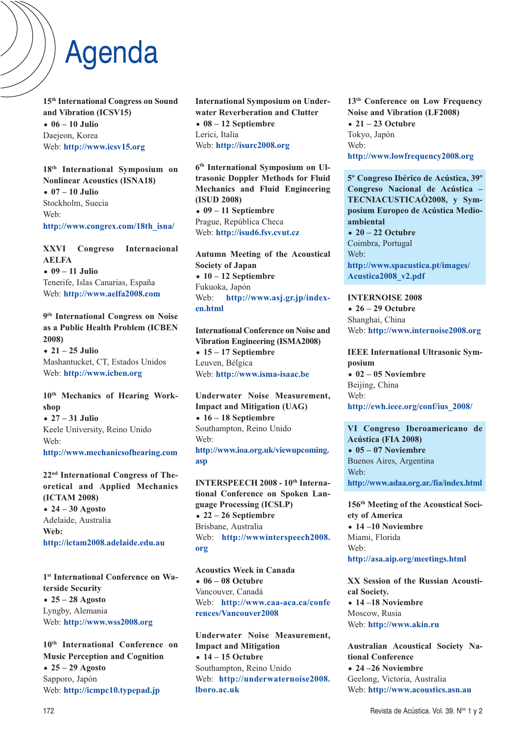## Agenda

**15th International Congress on Sound and Vibration (ICSV15)** - **06 – 10 Julio** Daejeon, Korea Web: **http://www.icsv15.org**

**18th International Symposium on Nonlinear Acoustics (ISNA18)** - **07 – 10 Julio** Stockholm, Suecia Web: **http://www.congrex.com/18th\_isna/**

**XXVI Congreso Internacional AELFA** - **09 – 11 Julio** Tenerife, Islas Canarias, España Web: **http://www.aelfa2008.com**

**9th International Congress on Noise** as a Public Health Problem (ICBEN **2008)** - **21 – 25 Julio**

Mashantucket, CT, Estados Unidos Web: **http://www.icben.org**

### **10th Mechanics of Hearing Workshop**

- **27 – 31 Julio** Keele University, Reino Unido Web:

**http://www.mechanicsofhearing.com**

**22nd International Congress of Theoretical and Applied Mechanics (ICTAM 2008)** - **24 – 30 Agosto**

Adelaide, Australia **Web: http://ictam2008.adelaide.edu.au**

**1st International Conference on Waterside Security** - **25 – 28 Agosto** Lyngby, Alemania Web: **http://www.wss2008.org**

**10th International Conference on Music Perception and Cognition** - **25 – 29 Agosto** Sapporo, Japón Web: **http://icmpc10.typepad.jp**

**International Symposium on Underwater Reverberation and Clutter** - **08 – 12 Septiembre** Lerici, Italia Web: **http://isurc2008.org**

**6th International Symposium on Ultrasonic Doppler Methods for Fluid Mechanics and Fluid Engineering (ISUD 2008)** - **09 – 11 Septiembre** Prague, República Checa Web: **http://isud6.fsv.cvut.cz**

**Autumn Meeting of the Acoustical Society of Japan** - **10 – 12 Septiembre** Fukuoka, Japón Web: **http://www.asj.gr.jp/indexen.html**

**International Conference on Noise and Vibration Engineering (ISMA2008)** - **15 – 17 Septiembre** Leuven, Bélgica Web: **http://www.isma-isaac.be**

Underwater Noise Measurement, **Impact and Mitigation (UAG)** - **16 – 18 Septiembre** Southampton, Reino Unido Web: **http://www.ioa.org.uk/viewupcoming. asp**

INTERSPEECH 2008 - 10<sup>th</sup> Interna**tional Conference on Spoken Language Processing (ICSLP)** - **22 – 26 Septiembre** Brisbane, Australia Web: **http://wwwinterspeech2008. org**

**Acoustics Week in Canada** - **06 – 08 Octubre** Vancouver, Canadá Web: **http://www.caa-aca.ca/confe rences/Vancouver2008**

Underwater Noise Measurement, **Impact and Mitigation** - **14 – 15 Octubre** Southampton, Reino Unido Web: **http://underwaternoise2008. lboro.ac.uk**

**13th Conference on Low Frequency -oise and Vibration (LF2008)** - **21 – 23 Octubre** Tokyo, Japón Web: **http://www.lowfrequency2008.org**

**5º Congreso Ibérico de Acústica, 39º Congreso Nacional de Acústica -TEC-IACUSTICAÒ2008, y Symposium Europeo de Acústica Medioambiental**  - **20 – 22 Octubre** Coimbra, Portugal Web: **http://www.spacustica.pt/images/ Acustica2008\_v2.pdf**

**INTERNOISE 2008** - **26 – 29 Octubre** Shanghai, China Web: **http://www.internoise2008.org**

**IEEE International Ultrasonic Symposium** • 02 – 05 Noviembre Beijing, China Web: **http://ewh.ieee.org/conf/ius\_2008/**

**VI Congreso Iberoamericano de Acústica (FIA 2008)** • 05 – 07 Noviembre Buenos Aires, Argentina Web: **http://www.adaa.org.ar./fia/index.html**

**156th Meeting of the Acoustical Society of America** • 14 –10 Noviembre Miami, Florida Web: **http://asa.aip.org/meetings.html**

**XX Session of the Russian Acoustical Society.** • 14 –18 Noviembre Moscow, Rusia Web: **http://www.akin.ru**

Australian Acoustical Society Na**tional Conference** • 24 – 26 Noviembre Geelong, Victoria, Australia Web: **http://www.acoustics.asn.au**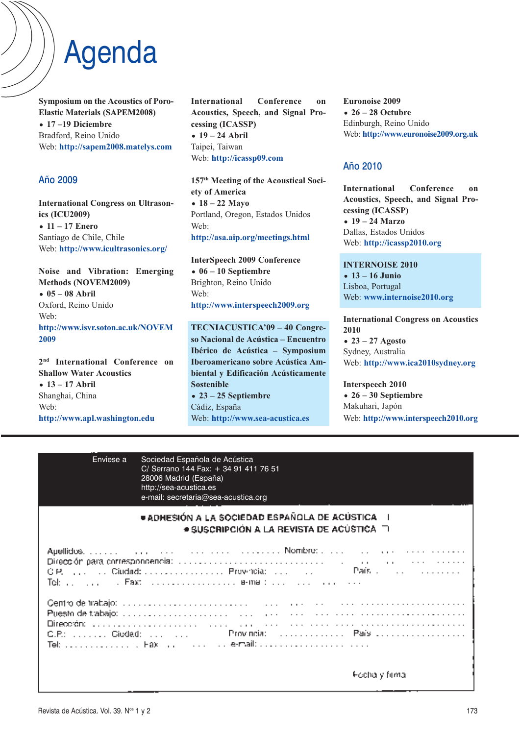# Agenda

**Symposium on the Acoustics of Poro-Elastic Materials (SAPEM2008)** - **17 –19 Diciembre** Bradford, Reino Unido Web: **http://sapem2008.matelys.com**

### Año 2009

**International Congress on Ultrasonics (ICU2009)** - **11 – 17 Enero** Santiago de Chile, Chile Web: **http://www.icultrasonics.org/**

**-oise and Vibration: Emerging Methods (NOVEM2009)** - **05 – 08 Abril** Oxford, Reino Unido Web:  $http://www.isvr.soton.ac.uk/NOVEM$ **2009**

**2nd International Conference on Shallow Water Acoustics** - **13 – 17 Abril** Shanghai, China Web: **http://www.apl.washington.edu**

**International Conference on Acoustics, Speech, and Signal Processing (ICASSP)** - **19 – 24 Abril** Taipei, Taiwan Web: **http://icassp09.com**

**157th Meeting of the Acoustical Society of America** - **18 – 22 Mayo** Portland, Oregon, Estados Unidos Web: **http://asa.aip.org/meetings.html**

**InterSpeech 2009 Conference** - **06 – 10 Septiembre** Brighton, Reino Unido Web: **http://www.interspeech2009.org**

TECNIACUSTICA'09 - 40 Congreso Nacional de Acústica – Encuentro **Ibérico de Acústica – Symposium Iberoamericano sobre Acústica Ambiental y Edificación Acústicamente Sostenible** - **23 – 25 Septiembre** Cádiz, España Web: **http://www.sea-acustica.es**

**Euronoise 2009** - **26 – 28 Octubre** Edinburgh, Reino Unido Web: **http://www.euronoise2009.org.uk**

### Año 2010

**International Conference on Acoustics, Speech, and Signal Processing (ICASSP)** - **19 – 24 Marzo** Dallas, Estados Unidos Web: **http://icassp2010.org**

**INTERNOISE 2010** - **13 – 16 Junio** Lisboa, Portugal Web: **www.internoise2010.org**

**International Congress on Acoustics 2010** - **23 – 27 Agosto** Sydney, Australia Web: **http://www.ica2010sydney.org**

**Interspeech 2010** - **26 – 30 Septiembre** Makuhari, Japón Web: **http://www.interspeech2010.org**

| Envíese a | Sociedad Española de Acústica<br>C/ Serrano 144 Fax: + 34 91 411 76 51<br>28006 Madrid (España)<br>http://sea-acustica.es<br>e-mail: secretaria@sea-acustica.org                                                                                                                                                                                            |
|-----------|-------------------------------------------------------------------------------------------------------------------------------------------------------------------------------------------------------------------------------------------------------------------------------------------------------------------------------------------------------------|
|           | ● ADHESIÓN A LA SOCIEDAD ESPAÑOLA DE ACUSTICA    <br>$\bullet$ SUSCRIPCION A LA REVISTA DE ACUSTICA. $\Box$                                                                                                                                                                                                                                                 |
|           | Dirección para correspondencia: internacional a contrar de la contrar de la contrar de la contrar de la contra<br>Tokin, in an arrangement of <b>Fax</b> : International construction of <b>Fax:</b> Fax: The Fax: The Fax: The Fax: The Fax: The Fax: The Fax: The Fax: The Fax: The Fax: The Fax: The Fax: The Fax: The Fax: The Fax: The Fax: The Fax: T |
|           | Centro de trabajo: producedo de conservado de conservado de conservado de trabajo de trabajo: producedo de conservado de<br>Puesto de trabajo: pode additional de concerta de la contrata de la concerta de concerta de la concerta de la<br>Dirección: 1999, 1999, 1999, 1999, 1999, 1999, 1999, 1999, 1999, 1999, 1999, 1999, 1999, 1999, 1999, 1999, 199 |
|           | ⊩echa y filma                                                                                                                                                                                                                                                                                                                                               |